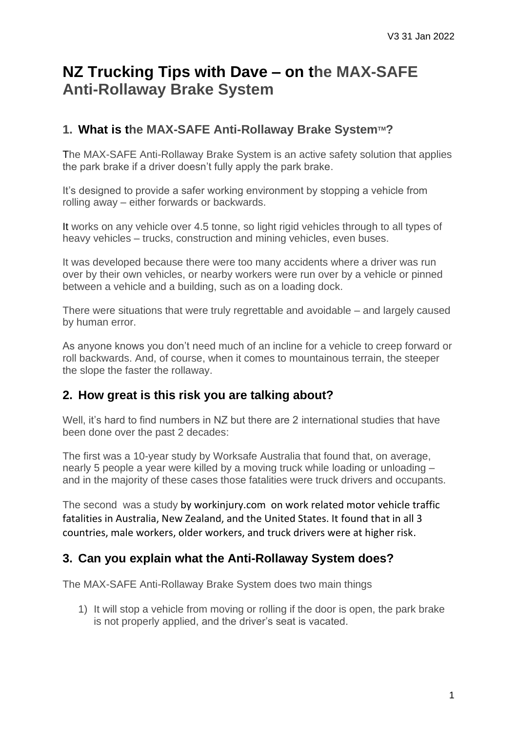# **NZ Trucking Tips with Dave – on the MAX-SAFE Anti-Rollaway Brake System**

## **1. What is the MAX-SAFE Anti-Rollaway Brake SystemTM?**

The MAX-SAFE Anti-Rollaway Brake System is an active safety solution that applies the park brake if a driver doesn't fully apply the park brake.

It's designed to provide a safer working environment by stopping a vehicle from rolling away – either forwards or backwards.

It works on any vehicle over 4.5 tonne, so light rigid vehicles through to all types of heavy vehicles – trucks, construction and mining vehicles, even buses.

It was developed because there were too many accidents where a driver was run over by their own vehicles, or nearby workers were run over by a vehicle or pinned between a vehicle and a building, such as on a loading dock.

There were situations that were truly regrettable and avoidable – and largely caused by human error.

As anyone knows you don't need much of an incline for a vehicle to creep forward or roll backwards. And, of course, when it comes to mountainous terrain, the steeper the slope the faster the rollaway.

### **2. How great is this risk you are talking about?**

Well, it's hard to find numbers in NZ but there are 2 international studies that have been done over the past 2 decades:

The first was a 10-year study by Worksafe Australia that found that, on average, nearly 5 people a year were killed by a moving truck while loading or unloading – and in the majority of these cases those fatalities were truck drivers and occupants.

The second was a study by workinjury.com on work related motor vehicle traffic fatalities in Australia, New Zealand, and the United States. It found that in all 3 countries, male workers, older workers, and truck drivers were at higher risk.

## **3. Can you explain what the Anti-Rollaway System does?**

The MAX-SAFE Anti-Rollaway Brake System does two main things

1) It will stop a vehicle from moving or rolling if the door is open, the park brake is not properly applied, and the driver's seat is vacated.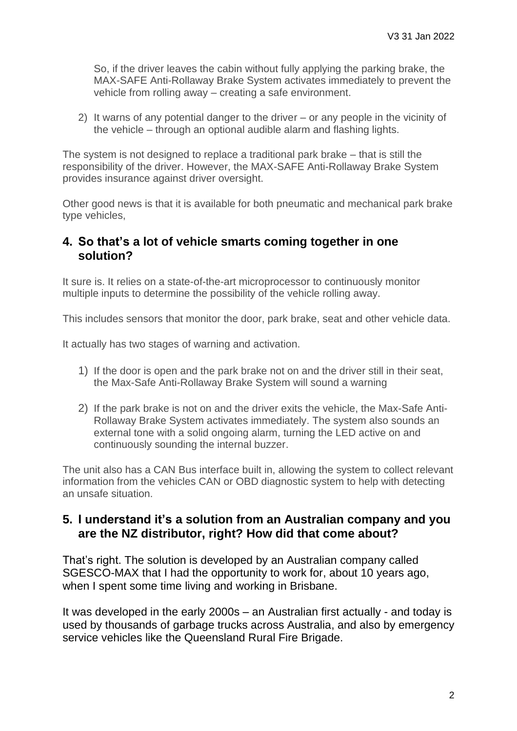So, if the driver leaves the cabin without fully applying the parking brake, the MAX-SAFE Anti-Rollaway Brake System activates immediately to prevent the vehicle from rolling away – creating a safe environment.

2) It warns of any potential danger to the driver – or any people in the vicinity of the vehicle – through an optional audible alarm and flashing lights.

The system is not designed to replace a traditional park brake – that is still the responsibility of the driver. However, the MAX-SAFE Anti-Rollaway Brake System provides insurance against driver oversight.

Other good news is that it is available for both pneumatic and mechanical park brake type vehicles,

#### **4. So that's a lot of vehicle smarts coming together in one solution?**

It sure is. It relies on a state-of-the-art microprocessor to continuously monitor multiple inputs to determine the possibility of the vehicle rolling away.

This includes sensors that monitor the door, park brake, seat and other vehicle data.

It actually has two stages of warning and activation.

- 1) If the door is open and the park brake not on and the driver still in their seat, the Max-Safe Anti-Rollaway Brake System will sound a warning
- 2) If the park brake is not on and the driver exits the vehicle, the Max-Safe Anti-Rollaway Brake System activates immediately. The system also sounds an external tone with a solid ongoing alarm, turning the LED active on and continuously sounding the internal buzzer.

The unit also has a CAN Bus interface built in, allowing the system to collect relevant information from the vehicles CAN or OBD diagnostic system to help with detecting an unsafe situation.

### **5. I understand it's a solution from an Australian company and you are the NZ distributor, right? How did that come about?**

That's right. The solution is developed by an Australian company called SGESCO-MAX that I had the opportunity to work for, about 10 years ago, when I spent some time living and working in Brisbane.

It was developed in the early 2000s – an Australian first actually - and today is used by thousands of garbage trucks across Australia, and also by emergency service vehicles like the Queensland Rural Fire Brigade.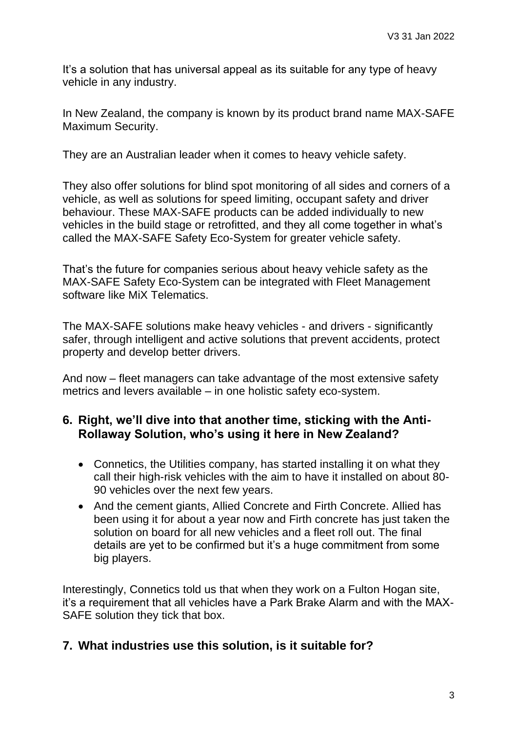It's a solution that has universal appeal as its suitable for any type of heavy vehicle in any industry.

In New Zealand, the company is known by its product brand name MAX-SAFE Maximum Security.

They are an Australian leader when it comes to heavy vehicle safety.

They also offer solutions for blind spot monitoring of all sides and corners of a vehicle, as well as solutions for speed limiting, occupant safety and driver behaviour. These MAX-SAFE products can be added individually to new vehicles in the build stage or retrofitted, and they all come together in what's called the MAX-SAFE Safety Eco-System for greater vehicle safety.

That's the future for companies serious about heavy vehicle safety as the MAX-SAFE Safety Eco-System can be integrated with Fleet Management software like MiX Telematics.

The MAX-SAFE solutions make heavy vehicles - and drivers - significantly safer, through intelligent and active solutions that prevent accidents, protect property and develop better drivers.

And now – fleet managers can take advantage of the most extensive safety metrics and levers available – in one holistic safety eco-system.

### **6. Right, we'll dive into that another time, sticking with the Anti-Rollaway Solution, who's using it here in New Zealand?**

- Connetics, the Utilities company, has started installing it on what they call their high-risk vehicles with the aim to have it installed on about 80- 90 vehicles over the next few years.
- And the cement giants, Allied Concrete and Firth Concrete. Allied has been using it for about a year now and Firth concrete has just taken the solution on board for all new vehicles and a fleet roll out. The final details are yet to be confirmed but it's a huge commitment from some big players.

Interestingly, Connetics told us that when they work on a Fulton Hogan site, it's a requirement that all vehicles have a Park Brake Alarm and with the MAX-SAFE solution they tick that box.

## **7. What industries use this solution, is it suitable for?**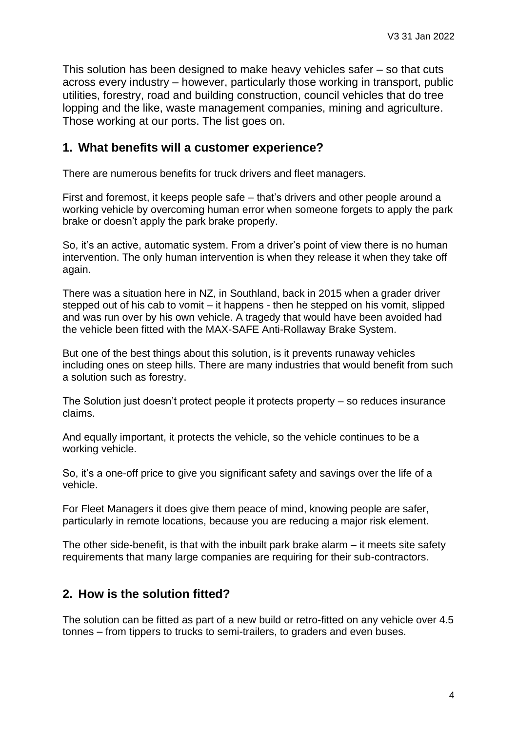This solution has been designed to make heavy vehicles safer – so that cuts across every industry – however, particularly those working in transport, public utilities, forestry, road and building construction, council vehicles that do tree lopping and the like, waste management companies, mining and agriculture. Those working at our ports. The list goes on.

#### **1. What benefits will a customer experience?**

There are numerous benefits for truck drivers and fleet managers.

First and foremost, it keeps people safe – that's drivers and other people around a working vehicle by overcoming human error when someone forgets to apply the park brake or doesn't apply the park brake properly.

So, it's an active, automatic system. From a driver's point of view there is no human intervention. The only human intervention is when they release it when they take off again.

There was a situation here in NZ, in Southland, back in 2015 when a grader driver stepped out of his cab to vomit – it happens - then he stepped on his vomit, slipped and was run over by his own vehicle. A tragedy that would have been avoided had the vehicle been fitted with the MAX-SAFE Anti-Rollaway Brake System.

But one of the best things about this solution, is it prevents runaway vehicles including ones on steep hills. There are many industries that would benefit from such a solution such as forestry.

The Solution just doesn't protect people it protects property – so reduces insurance claims.

And equally important, it protects the vehicle, so the vehicle continues to be a working vehicle.

So, it's a one-off price to give you significant safety and savings over the life of a vehicle.

For Fleet Managers it does give them peace of mind, knowing people are safer, particularly in remote locations, because you are reducing a major risk element.

The other side-benefit, is that with the inbuilt park brake alarm – it meets site safety requirements that many large companies are requiring for their sub-contractors.

## **2. How is the solution fitted?**

The solution can be fitted as part of a new build or retro-fitted on any vehicle over 4.5 tonnes – from tippers to trucks to semi-trailers, to graders and even buses.